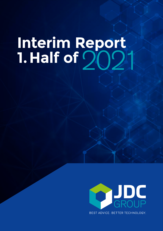# **Interim Report 1.Half of** 2021

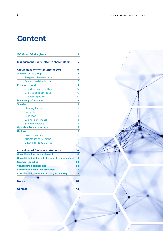# **Content**

| JDC Group AG at a glance                              | 3               |
|-------------------------------------------------------|-----------------|
| <b>Management Board letter to shareholders</b>        | 5               |
| <b>Group management interim report</b>                | 9               |
| <b>Situation of the group</b>                         | 9               |
| The group's business model                            | 9               |
| Research and development                              | 9               |
| <b>Economic report</b>                                | 9               |
| Overall economic conditions                           | 9               |
| Sector-specific conditions                            | 10 <sup>1</sup> |
| Competitive position                                  | 10 <sup>1</sup> |
| <b>Business performance</b>                           | 11              |
| <b>Situation</b>                                      | 12              |
| Major key figures                                     | 12              |
| <b>Financial position</b>                             | 12              |
| Cash flows                                            | 13 <sup>°</sup> |
| Earnings performance                                  | 14              |
| Segment reporting                                     | 14              |
| <b>Opportunities and risk report</b>                  | 15              |
| <b>Outlook</b>                                        | 16              |
| Economic outlook                                      | 16              |
| Markets and sector outlook                            | 17 <sub>2</sub> |
| Outlook for the JDC Group                             | 17              |
|                                                       |                 |
| <b>Consolidated financial statements</b>              | 18              |
| <b>Consolidated income statement</b>                  | 18              |
| <b>Consolidated statement of comprehensive income</b> | 19              |
| <b>Segment reporting</b>                              | 20              |
| <b>Consolidated balance sheet</b>                     | 24              |
| <b>Consolidated cash flow statement</b>               | 26              |
| <b>Consolidated statement of changes in equity</b>    | 27              |
|                                                       |                 |
| <b>Notes</b>                                          | 28              |
| <b>Contact</b>                                        | 42              |

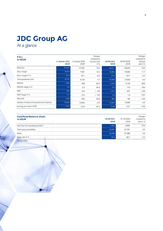### **JDC Group AG**

At a glance

| <b>P&amp;L</b><br>in kEUR                     | 2. Quarter 2021 | 2. Quarter 2020 | Changes<br>compared to<br>previous year | 30/06/2021  | 30/06/2020 | Changes<br>compared to<br>previous |
|-----------------------------------------------|-----------------|-----------------|-----------------------------------------|-------------|------------|------------------------------------|
|                                               | <b>kEUR</b>     | kEUR            | in %                                    | <b>kEUR</b> | kEUR       | year in %                          |
| Revenues                                      | 32,644          | 27,381          | 19.2                                    | 68,611      | 58,820     | 16.6                               |
| Gross margin                                  | 8,972           | 7,981           | 12.4                                    | 18,853      | 16,880     | 11.7                               |
| Gross margin in %                             | 27.5            | 29.1            | $-5.5$                                  | 27.5        | 28.7       | $-4.2$                             |
| Total operational costs                       | 8,747           | 8,125           | 7.7                                     | 16,939      | 15,933     | 6.3                                |
| <b>EBITDA</b>                                 | 1,506           | 939             | 60.4                                    | 4,343       | 3,134      | 38.6                               |
| EBITDA margin in %                            | 4.6             | 3.4             | 35.3                                    | 6.3         | 5.3        | 18.9                               |
| <b>EBIT</b>                                   | 225             | $-144$          | >100                                    | 1,914       | 947        | >100                               |
| EBIT margin in %                              | 0.7             | $-0.5$          | >100                                    | 2.8         | 1.6        | 75.0                               |
| Net profit                                    | $-235$          | $-509$          | 53.8                                    | 980         | 190        | >100                               |
| Number of shares in thousands (end of period) | 12,623          | 12,660          | $-0.3$                                  | 12,623      | 12,966     | $-2.6$                             |
| Earnings per share in EUR                     | $-0.02$         | $-0.04$         | 50.0                                    | 0.08        | 0.01       | >100                               |

| <b>Cashflow/Balance sheet</b>                    |                           |                           | Changes                  |
|--------------------------------------------------|---------------------------|---------------------------|--------------------------|
| in kEUR                                          | 30/06/2021<br><b>kEUR</b> | 31/12/2020<br><b>kEUR</b> | compared to<br>year in % |
| Cash flow from operating activities <sup>*</sup> | 4,866                     | 2,805                     | 73.5                     |
| Total equity and liabilities                     | 94,691                    | 91,791                    | 3.2                      |
| Equity                                           | 28,268                    | 27.288                    | 3.6                      |
| Equity ratio in %                                | 29.9                      | 29.7                      | 0.4                      |
| *30/06/2020                                      |                           |                           |                          |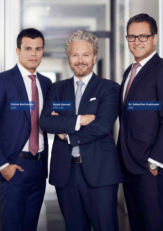**Stefan Bachmann** CDO

**ADY** 

**Ralph Konrad** CFO, CIO

**GRT** 

 $\circ$  .

**JDC GROUP** FINANCIAL SERVICES | Annual Report 2007 **4**

**Dr. Sebastian Grabmaier** CEO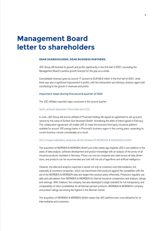### **Management Board letter to shareholders**

#### **DEAR SHAREHOLDERS, DEAR BUSINESS PARTNERS,**

JDC Group AG boosted its growth and profits significantly in the first half of 2021, exceeding the Management Board's positive growth forecast for the year as a whole.

Consolidated revenues grew by around 17 percent to EUR 68.6 million in the first half of 2021, while there was also a significant improvement in profits, with the Advisortech and Advisory divisions again both contributing to the growth in revenues and profits.

#### Important steps during the second quarter of 2021

The JDC affiliates reported major successes in the second quarter:

#### Joint venture between Provinzial and JDC

In June, JDC Group AG and an affiliate of Provinzial Holding AG signed an agreement to set up a joint venture by the name of Einfach Gut Versichert GmbH, formalising the letter of intent signed in February. This collaboration agreement will enable JDC to make the exclusive third-party insurance platform available for around 100 savings banks in Provinzial's business region in the coming years, expanding its current business volume considerably as a result.

#### JDC Group subsidiary acquires all the shares of MORGEN & MORGEN GmbH

The acquisition of MORGEN & MORGEN GmbH just a few weeks ago expands JDC's own platform in the areas of data analysis, software development and product knowledge with an analysis of the prices of all insurance products marketed in Germany. Prices can now be compared and rated across all data dimensions, and products can be recommended and sold with the aid of algorithms and artificial intelligence.

However, the data and analytics expertise is aimed not only at customers and intermediaries, but especially at insurance companies, which can benchmark their products against the competition with the aid of the MORGEN & MORGEN data and target their product policy effectively. Producers regularly use data and calculations from MORGEN & MORGEN for internal insurance comparisons and analysis, ratings and rankings. With Volatium, the company has also developed a single standard for full transparency and comparability of return probabilities for all German pension products. MORGEN & MORGEN's company and product ratings are among the highest in the German market.

The acquisition of MORGEN & MORGEN GmbH makes the JDC platform even more attractive for its intermediaries and customers.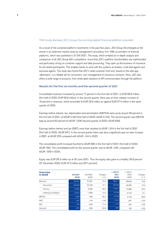#### TME study declares JDC Group the winning digital financial platform provider

As a result of the sustained platform investments in the past few years, JDC Group AG emerged as the winner in an extensive market study by management consultancy firm TME on providers of financial platforms, which was published in 21/04/2021. The study, which entailed an in-depth analysis and comparison of all JDC Group AG's competitors, found that JDC's platform functionalities are sophisticated and particularly strong on customer support and data processing. They open up the business of insurance for all market participants. This enables banks to work with the systems as brokers, multi-tied agents and exclusive agents. The study also found that JDC's retail customer front end, based on the web app 'allesmeins', is a reliable aid for consumers' own management of insurance contracts. Here, JDC also offers a wide range of products, from white label solutions to API communication through the platform.

#### Results for the first six months and the second quarter of 2021

Consolidated revenues increased by around 17 percent in the first half of 2021, to EUR 68.6 million (first half of 2020: EUR 58.8 million). In the second quarter, there was an even steeper increase of 19 percent in revenues, which amounted to EUR 32.6 million as against EUR 27.4 million in the same quarter of 2020.

Earnings before interest, tax, depreciation and amortisation (EBITDA) were up by around 39 percent in the first half of 2021, at kEUR 4,343 (first half of 2020: kEUR 3,134). The second quarter saw EBITDA leap by around 60 percent to kEUR 1,506 (second quarter of 2020: kEUR 939).

Earnings before interest and tax (EBIT) more than doubled to kEUR 1,914 in the first half of 2021 (first half of 2020: kEUR 947). In the second quarter there was also a significant year-on-year increase in EBIT, at kEUR 225 compared with kEUR –144 in 2020.

The consolidated profit increased fourfold to kEUR 980 in the first half of 2021 (first half of 2020: kEUR 190). The consolidated profit for the second quarter rose to kEUR –235, compared with kEUR –509 in 2020.

Equity was EUR 28.3 million as at 30 June 2021. Thus the equity ratio grew to a healthy 29.9 percent (31 December 2020: EUR 27.3 million and 29.7 percent).

| <b>Overview</b><br>in kEUR | Q2/2021<br><b>kEUR</b> | Q2/2020<br><b>kEUR</b> | Changes<br>in $%$ | 1. Half of<br>2021<br><b>kEUR</b> | 1. Half of<br>2020<br>kEUR | Changes<br>in $%$ |
|----------------------------|------------------------|------------------------|-------------------|-----------------------------------|----------------------------|-------------------|
| Revenues                   | 32,644                 | 27,381                 | 19.2              | 68,611                            | 58.820                     | 16.6              |
| Advisortech                | 25,848                 | 22,449                 | 15.1              | 56,449                            | 49.565                     | 13.9              |
| Advisory                   | 9,038                  | 6,928                  | 30.5              | 17,291                            | 13.998                     | 23.5              |
| Holding/Consolidation      | $-2,242$               | $-1.996$               | 12.3              | $-5,129$                          | $-4.743$                   | 8.1               |
| <b>EBITDA</b>              | 1,506                  | 939                    | 60.4              | 4,343                             | 3,134                      | 38.6              |
| <b>EBIT</b>                | 225                    | $-144$                 | >100              | 1,914                             | 947                        | >100              |
| <b>EBT</b>                 | $-146$                 | $-504$                 | 71.0              | 1,174                             | 220                        | >100              |
| Net profit                 | $-235$                 | $-509$                 | 53.8              | 980                               | 190                        | >100              |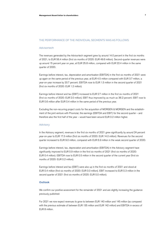#### THE PERFORMANCE OF THE INDIVIDUAL SEGMENTS WAS AS FOLLOWS:

#### Advisortech

The revenues generated by the Advisortech segment grew by around 14.0 percent in the first six months of 2021, to EUR 56.4 million (first six months of 2020: EUR 49.6 million). Second-quarter revenues were up around 15 percent year on year, at EUR 25.8 million, compared with EUR 22.4 million in the same quarter of 2020.

Earnings before interest, tax, depreciation and amortisation (EBITDA) in the first six months of 2021 were up again on the same period of the previous year, at EUR 4.5 million compared with EUR 3.7 million, a year-on-year increase by 20.7 percent. EBITDA rose to EUR 1.5 million in the second quarter of 2021 (first six months of 2020: EUR 1.2 million).

Earnings before interest and tax (EBIT) increased to EUR 2.7 million in the first six months of 2021 (first six months of 2020: EUR 2.0 million). EBIT thus improved by as much as 36.2 percent. EBIT rose to EUR 0.6 million after EUR 0.4 million in the same period of the previous year.

Excluding the non-recurring project costs for the acquisition of MORGEN & MORGEN and the establishment of the joint venture with Provinzial, the earnings (EBITDA and EBIT) for the second quarter – and therefore also the first half of the year – would have been around EUR 0.2 million higher.

#### Advisory

In the Advisory segment, revenues in the first six months of 2021 grew significantly by around 24 percent year-on-year to EUR 17.3 million (first six months of 2020: EUR 14.0 million). Revenues for the second quarter increased to EUR 9.0 million, compared with EUR 6.9 million in the weak second quarter of 2020.

Earnings before interest, tax, depreciation and amortisation (EBITDA) in the Advisory segment have significantly improved to EUR 0.9 million in the first six months of 2021 (first six months of 2020: EUR 0.4 million). EBITDA rose to EUR 0.5 million in the second quarter of the current year (first six months of 2020: EUR 0.2 million).

Earnings before interest and tax (EBIT) were also up in the first six months of 2021 and stood at EUR 0.4 million (first six months of 2020: EUR 0.0 million). EBIT increased to EUR 0.3 million in the second quarter of 2021 (first six months of 2020: EUR 0.0 million).

#### **Outlook**

We confirm our positive assessment for the remainder of 2021 and are slightly increasing the guidance previously published:

For 2021 we now expect revenues to grow to between EUR 140 million and 145 million (as compared with the previous estimate of between EUR 135 million and EUR 142 million) and EBITDA in excess of EUR 8 million.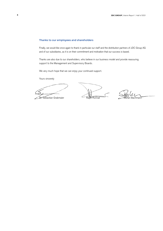#### Thanks to our employees and shareholders

Finally, we would like once again to thank in particular our staff and the distribution partners of JDC Group AG and of our subsidiaries, as it is on their commitment and motivation that our success is based.

Thanks are also due to our shareholders, who believe in our business model and provide reassuring support to the Management and Supervisory Boards.

We very much hope that we can enjoy your continued support.

Yours sincerely

Dr. Sebastian Grabmaier Ralph Konrad Stefan Bachmann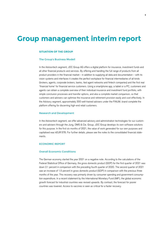### **Group management interim report**

#### **SITUATION OF THE GROUP**

#### The Group's Business Modell

In the Advisortech segment, JDC Group AG offers a digital platform for insurance, investment funds and all other financial products and services. By offering and handling the full range of products from all product providers in the financial market – in addition to supplying all data and documentation – with its vision systems and interfaces it creates the perfect workplace for financial intermediaries of all kinds (brokers, agents, corporate brokers, banks, tied agent networks and fintech companies) and the first real 'financial home' for financial service customers. Using a smartphone app, a tablet or a PC, customers and agents can obtain a complete overview of their individual insurance and investment fund portfolio, with simple conclusion processes and transfer options, and also a complete market comparison, so that customers and advisers can optimise the insurance and retirement provision easily and cost effectively. In the Advisory segment, approximately 300 well-trained advisers under the FiNUM. brand complete the platform offering for discerning high-end retail customers.

#### Research and Development

In the Advisortech segment, we offer advanced advisory and administration technologies for our customers and advisers through the Jung, DMS & Cie. Group. JDC Group develops its own software solutions for this purpose. In the first six months of 2021, the value of work generated for our own purposes and capitalised was kEUR 578. For further details, please see the notes to the consolidated financial statements.

#### ECONOMIC REPORT

#### Overall Economic Conditions

The German economy started the year 2021 on a negative note. According to the calculations of the Federal Statistical Office of Germany, the gross domestic product (GDP) for the first quarter of 2021 was down 2.1 percent in comparison with the preceding fourth quarter of 2020. The second quarter of 2021 saw an increase of 1.5 percent in gross domestic product (GDP) in comparison with the previous three months of the year. This recovery was primarily driven by consumer spending and government consumption expenditure. In a recent statement by the International Monetary Fund (IMF), the global economic growth forecast for industrial countries was revised upwards. By contrast, the forecast for poorer countries was lowered. Access to vaccines is seen as critical for a faster recovery.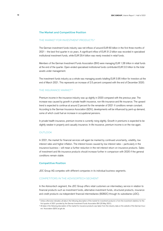#### The Market and Competitive Position

#### THE MARKET FOR INVESTMENT PRODUCTS<sup>1)</sup>

The German investment funds industry saw net inflows of around EUR 60 billion in the first three months of 2021 – the best first quarter in six years. A significant inflow of EUR 31.2 billion was recorded in specialised institutional investment funds, while EUR 29.4 billion was newly invested in retail funds.

Members of the German Investment Funds Association (BVI) were managing EUR 1.28 trillion in retail funds at the end of the quarter. Open-ended specialised institutional funds contributed EUR 2.0 trillion to the total assets under management.

The investment funds industry as a whole was managing assets totalling EUR 3.95 trillion for investors at the end of March 2021. This represents an increase of 2.5 percent compared with the end of December 2020.

#### THE INSURANCE MARKET<sup>2)</sup>

Premium income in the insurance industry was up slightly in 2020 compared with the previous year. The increase was caused by growth in private health insurance, non-life insurance and life insurance. The upward trend is expected to continue at around 2 percent for the remainder of 2021 if conditions remain constant. According to the German Insurance Association (GDV), developments will be influenced by pent-up demand, some of which could fuel an increase in occupational pensions.

In private health insurance, premium income is currently rising slightly. Growth in premiums is expected to be slightly weaker in property and casualty insurance. In life insurance, premium income is on the rise again.

#### **OUTLOOK**

In 2021, the market for financial services will again be marked by continued uncertainty, volatility, low interest rates and higher inflation. The interest losses caused by low interest rates – particularly in the insurance business – will mean a further reduction in the net interest return on insurance products. Sales of investment and life insurance products should increase further in comparison with 2020 if the general conditions remain stable.

#### Competitive Position

JDC Group AG competes with different companies in its individual business segments.

#### COMPETITORS IN THE ADVISORTECH SEGMENT

In the Advisortech segment, the JDC Group offers retail customers an intermediary service in relation to financial products such as investment funds, alternative investment funds, structured products, insurance and credit products via independent financial intermediaries (B2B2C) through its subsidiaries (JDC).

<sup>1)</sup> Unless otherwise indicated, all data in the following description of the market for investment products is from the investment statistics for the first quarter of 2021 provided by the German Investment Funds Association BVI (20 May 2021).

<sup>&</sup>lt;sup>2)</sup> All data in the following description of the market for insurance products was taken from the industry data on the website of the German Insurers' Association (GDV) at gdv.de.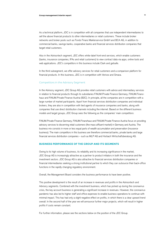As a technical platform, JDC is in competition with all companies that use independent intermediaries to sell the above financial products to other intermediaries or retail customers. These include broker networks and broker pools such as Fonds Finanz Maklerservice GmbH and BCA AG, in addition to commercial banks, savings banks, cooperative banks and financial services distribution companies that target retail customers.

Also in the Advisortech segment, JDC offers white-label front-end services, which enable customers (banks, insurance companies, IFAs and retail customers) to view contract data via apps, online tools and web applications. JDC's competitors in this business include Clark and getsafe.

In the third subsegment, we offer advisory services for retail customers and a comparison platform for financial products. In this business, JDC is in competition with Verivox and Smava.

#### Competitors in the Advisory Segment

In the Advisory segment, JDC Group AG provides retail customers with advice and intermediary services in relation to financial products through its subsidiaries FiNUM.Private Finance Germany, FiNUM.Finanzhaus and FiNUM.Private Finance Austria (B2C). In principle, all the companies are in competition with a large number of market participants. Apart from financial services distribution companies and individual brokers, they are also in competition with tied agents of insurance companies and banks, along with companies that use direct distribution channels including the internet. Based on the different business models and target groups, JDC Group sees the following as the companies' main competitors:

FiNUM.Private Finance Germany, FiNUM.Finanzhaus and FiNUM.Private Finance Austria focus on providing advisory services to discerning retail customers (the mass affluent market) in Germany and Austria. The business mix consists in more or less equal parts of wealth accumulation and preservation (insurance business). The main competitors in this business are therefore commercial banks, private banks and large financial services distribution companies – such as MLP AG and Horbach Wirtschaftsberatung AG.

#### **BUSINESS PERFORMANCE OF THE GROUP AND ITS SEGMENTS**

Owing to its high volume of business, its reliability and its increasing significance in the market, JDC Group AG is increasingly attractive as a partner to product initiators in both the insurance and the investment sectors. JDC Group AG is also attractive to financial services distribution companies or financial intermediaries seeking a strong institutional partner to which they can outsource their back-office functions in the rapidly changing regulatory environment.

Overall, the Management Board considers the business performance to have been positive.

This positive development is the result of an increase in revenues and profits in the Advisortech and Advisory segments. Combined with the investment business, which has picked up during the coronavirus crisis, the key account business is generating a significant increase in revenues. However, the coronavirus pandemic has also led to higher staff and office expenses to enable business operations to continue with minimal impact. This has had only a slight negative effect on profits, in which there is a clear upward trend overall. In the second half of the year we will announce further major projects, which will result in higher profits if costs remain constant.

For further information, please see the sections below on the position of the JDC Group.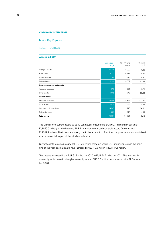#### **COMPANY SITUATION**

#### Major Key Figures

#### ASSET POSITION

#### **Assets in kEUR**

|                              | 30/06/2021<br><b>kEUR</b> | 31/12/2020<br><b>kEUR</b> | Changes<br>in $%$ |
|------------------------------|---------------------------|---------------------------|-------------------|
| Intangible assets            | 51,438                    | 47,930                    | 7.32              |
| Fixed assets                 | 5,137                     | 5,117                     | 0.39              |
| Financial assets             | 184                       | 216                       | $-14.81$          |
| Deferred taxes               | 3,293                     | 3,552                     | $-7.29$           |
| Long-term non-current assets |                           |                           |                   |
| Accounts receivable          | 978                       | 891                       | 9.76              |
| Other assets                 | 1,072                     | 1,746                     | $-38.60$          |
| <b>Current assets</b>        |                           |                           |                   |
| Accounts receivable          | 15,205                    | 18,364                    | $-17.20$          |
| Other assets                 | 1,935                     | 1,838                     | 5.28              |
| Cash and cash equivalents    | 14,567                    | 11,718                    | 24.31             |
| Deferred charges             | 882                       | 419                       | >100              |
| <b>Total assets</b>          | 94,691                    | 91,791                    | 3.16              |

The Group's non-current assets as at 30 June 2021 amounted to EUR 62.1 million (previous year: EUR 59.5 million), of which around EUR 51.4 million comprised intangible assets (previous year: EUR 47.9 million). The increase is mainly due to the acquisition of another company, which was capitalised as a customer list as part of the initial consolidation.

Current assets remained steady at EUR 32.6 million (previous year: EUR 32.3 million). Since the beginning of the year, cash at banks have increased by EUR 2.8 million to EUR 14.6 million.

Total assets increased from EUR 91.8 million in 2020 to EUR 94.7 million in 2021. This was mainly caused by an increase in intangible assets by around EUR 3.5 million in comparison with 31 December 2020.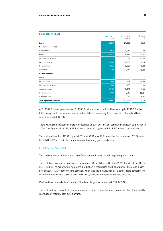| <b>Liabilities in kEUR</b>   |                |             |          |
|------------------------------|----------------|-------------|----------|
|                              | 30/06/2021     | 31/12/2020  | Changes  |
|                              | <b>kEUR</b>    | <b>kEUR</b> | in $%$   |
| Equity                       | 28,268         | 27,288      | 3.59     |
| Non-current liabilities      |                |             |          |
| Deferred taxes               | 4,636          | 4,140       | 11.98    |
| Bonds                        | 19,414         | 19,337      | 0.40     |
| Liabilities due to banks     | 32             | 33          | $-3.03$  |
| Accounts payable             | 10,603         | 10,280      | 3.14     |
| Other liabilities            | 3,606          | 3,636       | $-0.83$  |
| Provisions                   | 1,450          | 1,240       | 16.94    |
| <b>Current liabilities</b>   |                |             |          |
| Bonds                        | $\overline{O}$ | $\mathbf 0$ | $\circ$  |
| Accrued taxes                | 468            | 284         | 64.88    |
| Liabilities due to banks     | 1,085          | 1,067       | 1.69     |
| Accounts payable             | 17,420         | 19,872      | $-12.34$ |
| Other liabilities            | 7,636          | 4,545       | 68.01    |
| Deferred income              | 73             | 69          | 5.80     |
| Total equity and liabilities | 94,691         | 91,791      | 3.16     |
|                              |                |             |          |

At EUR 39.7 million (previous year: EUR 38.7 million), non-current liabilities were up by EUR 0.5 million in total, mainly due to the increase in deferred tax liabilities caused by the recognition of lease liabilities in accordance with IFRS 16.

There was a slight increase in short-term liabilities to EUR 26.7 million, compared with EUR 25.8 million in 2020. This figure includes EUR 17.4 million in accounts payable and EUR 7.6 million in other liabilities.

The equity ratio of the JDC Group as at 30 June 2021 was 29.9 percent of the total assets (31 December 2020: 29.7 percent). The Group therefore has a very good equity base.

#### FINANCIAL POSITION

The statement of cash flows shows the inflows and outflows of cash during the reporting period.

The cash flow from operating activities was up by kEUR 2,061 as at 30 June 2021, from kEUR 2,805 to kEUR 4,866. The main factors here were a reduction in receivables and higher profits. There was a cash flow of kEUR –1,407 from investing activities, which includes the acquisition of a consolidated company. The cash flow from financing activities was kEUR –610, including the repayment of lease liabilities.

Cash and cash equivalents at the end of the financial year amounted to kEUR 14,567.

The cash and cash equivalents were sufficient at all times during the reporting period. Short-term liquidity is ensured by monthly cash flow planning.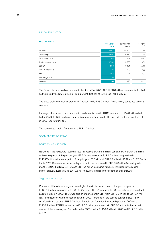#### INCOME POSITION

| <b>P &amp; L in kEUR</b> |             |             |         |
|--------------------------|-------------|-------------|---------|
|                          | 30/06/2021  | 30/06/2020  | Changes |
|                          | <b>kEUR</b> | <b>kEUR</b> | in $%$  |
| Revenues                 | 68,611      | 58,820      | 16.65   |
| Gross margin             | 18,853      | 16,880      | 11.69   |
| Gross margin in %        | 27.5        | 28.7        | $-4.18$ |
| Total operational costs  | 16,939      | 15,933      | 6.31    |
| <b>EBITDA</b>            | 4,343       | 3,134       | 38.58   |
| EBITDA margin in %       | 6.3         | 5.3         | 18.87   |
| <b>EBIT</b>              | 1,914       | 947         | >100    |
| EBIT margin in %         | 2.8         | 1.6         | 75.00   |
| Net profit               | 980         | 190         | >100    |

The Group's income position improved in the first half of 2021. At EUR 68.6 million, revenues for the first half were up by EUR 9.8 million, or 16.6 percent (first half of 2020: EUR 58.8 million).

The gross profit increased by around 11.7 percent to EUR 18.9 million. This is mainly due to key account contracts.

Earnings before interest, tax, depreciation and amortisation (EBITDA) went up to EUR 4.3 million (first half of 2020: EUR 3.1 million). Earnings before interest and tax (EBIT) rose to EUR 1.9 million (first half of 2020: EUR 0.9 million).

The consolidated profit after taxes was EUR 1.0 million.

#### SEGMENT REPORTING

#### Segment Advisortech

Revenues in the Advisortech segment rose markedly to EUR 56.4 million, compared with EUR 49.6 million in the same period of the previous year. EBITDA was also up, at EUR 4.5 million, compared with EUR 3.7 million in the same period of the prior year. EBIT stood at EUR 2.7 million in 2021 and EUR 2.0 million in 2020. Revenues for the second quarter on its own amounted to EUR 25.8 million (second quarter 2020: EUR 22.4 million). EBITDA was EUR 1.5 million, compared with EUR 1.2 million in the second quarter of 2020. EBIT totalled EUR 0.6 million (EUR 0.4 million in the second quarter of 2020).

#### Segment Advisory

Revenues of the Advisory segment were higher than in the same period of the previous year, at EUR 17.3 million, compared with EUR 14.0 million. EBITDA increased to EUR 0.9 million, compared with EUR 0.4 million in 2020. There was also an improvement in EBIT from EUR 0.0 million to EUR 0.4 million. In comparison with the second quarter of 2020, revenues for the second quarter of 2021 grew significantly and stood at EUR 9.0 million. The relevant figure for the second quarter of 2020 was EUR 6.9 million. EBITDA amounted to EUR 0.5 million, compared with EUR 0.2 million in the second quarter of the previous year. Second-quarter EBIT stood at EUR 0.3 million in 2021 and EUR 0.0 million in 2020.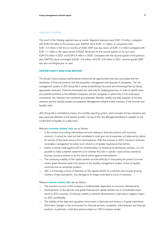#### Segment Holding

The result of the Holding segment was up overall. Segment revenues were EUR 1.0 million, compared with EUR 0.8 million in the previous year. EBITDA fell to EUR -1.1 million, in comparison with EUR –1.0 million in the first six months of 2020. EBIT was also down, at EUR –1.2 million compared with EUR –1.1 million in the same period of 2020. Revenues for the second quarter on its own were EUR 0.5 million in 2021 and EUR 0.4 million in 2020. Compared with the second quarter of the previous year, EBITDA stood unchanged at EUR –0.5 million. At EUR –0.6 million in 2021, second-quarter EBIT was also unchanged year on year.

#### **OPPORTUNITY AND RISK REPORT**

The Group's future business performance involves all the opportunities and risks associated with the distribution of financial products and the acquisition, management and disposal of companies. The risk management system of JDC Group AG is aimed at identifying risks early and minimising them by taking appropriate measures. Financial instruments are used only for hedging purposes. In order to identify early any potential problems in the affiliated companies and the companies in which they in turn hold equity investments, key indicators are monitored and evaluated. Monthly, weekly and daily analyses of turnover, revenues and the liquidity position are prepared. Management obtains a daily summary of the turnover and liquidity ratios.

JDC Group AG is controlled by means of a monthly reporting system, which includes the key indicators and pays particular attention to the liquidity position. On top of this, the Management Board is updated on the current level of liquidity on a daily basis.

#### Relevant **company-related risks** are as follows:

- In the context of providing intermediary services relating to financial products and insurance products, it cannot be ruled out that cancellations could give rise to expenses not balanced by claims for refunds of the same amount from intermediaries. With the increase in JDC's insurance revenues, receivables management to collect such refunds is of greater importance than before.
- Claims could be made against JDC for misinformation or misadvice by distribution partners. It is not possible to make a blanket statement as to whether the risks in specific cases will be covered by existing insurance policies or by the refund claims against intermediaries.
- The continuing volatility of the capital markets and the difficulty in forecasting the product turnover means great demands have to be placed on the liquidity management system. A lack of liquidity could become an existential problem.
- JDC is increasingly a focus of attention on the capital market. Its customers also include growing numbers of big corporations. Any damage to its image could lead to a loss of revenues.

#### Relevant **market-related risks** are as follows:

- The business success of the company is fundamentally dependent on economic developments.
- Developments on the German and global financial and capital markets are of considerable importance to JDC's success. Continuing volatility or adverse developments could have a negative impact on JDC's profitability.
- The stability of the legal and regulatory environment in Germany and Austria is of great importance. Short-term changes in the environment for financial services companies, intermediaries and financial products, in particular, could have adverse impact on JDC's business model.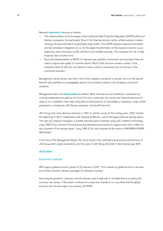Relevant **regulatory risks** are as follows:

- The implementation of the European Union's General Data Protection Regulation (GDPR) affects all German companies, but particularly those in the financial services sector, whose business involves working with personal data to a particularly large extent. The GDPR imposes extensive information and documentation obligations on us. As the digital transformation of the insurance industry is just beginning, many processes at JDC still have to be handled manually. This increases the risk of data breaches due to human error.
- Since the implementation of MiFID II in German law, portfolio commissions are only paid if they are used to improve the quality of customer advice. Much of the structure remains unclear. If the measures taken at JDC are not sufficient, there could be a temporary loss of revenues in the investment business.

Management cannot discern any other risks to the company's existence or growth, and is of the opinion that the risks identified are manageable and do not constitute a threat to the company's continued existence.

Management views the **opportunities** as follows: Many financial services distribution companies are currently weakened financially by the Covid-19 crisis in particular. As a result, the financial resources of many of our competitors have been exhausted and the pressure to consolidate is increasing. Large market participants, including the JDC Group companies, will benefit from this.

JDC Group took some decisive measures in 2021 to set the course for the coming years. 2021 marked the beginning of JDC's collaboration with Sparkasse Bremen, one of the largest German savings banks. The start-up company Finanzguru is another bancassurance customer using JDC's platform technology. Jung, DMS & Cie. and the Provinzial group are planning a joint venture to support more than a million retail customers of the savings banks. Jung, DMS & Cie. also acquired all the shares of MORGEN & MOR-GEN GmbH.

In the view of the Management Board, this will all result in the continued overall positive performance of JCD Group AG's equity investments, and thus also of JDC Group AG itself, in the financial year 2021.

#### **OUTLOOK**

#### Economic outlook

IMF projects global economic growth of 5.5 percent in 2021. This is based on global access to vaccines and further economic stimulus packages for individual countries.

How long the pandemic continues, and the policies used to deal with it, will determine how quickly the economy can recover. If this phase continues for a long time, therefore, it is very likely that the global economy will not show signs of a recovery until 2022.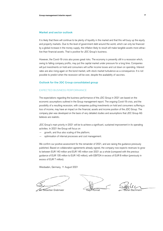#### Market and sector outlook

It is likely that there will continue to be plenty of liquidity in the market and that this will buoy up the equity and property markets. Due to the level of government debt around the world, which can only be financed by a global increase in the money supply, the inflation likely to result will make tangible assets more attractive than financial assets. That is positive for JDC Group's business.

However, the Covid-19 crisis also poses great risks. The economy is presently still in a recession which, owing to falling company profits, may put the capital market under pressure for a long time. Companies will put investments on hold and consumers will suffer income losses and cut down on spending. Interest rates are also rising again on the bond market, with stock market turbulence as a consequence. It is not possible to predict when the recession will be over, despite the availability of vaccines.

#### Outlook for the JDC Group consolidated group

#### EXPECTED BUSINESS PERFORMANCE

The expectations regarding the business performance of the JDC Group in 2021 are based on the economic assumptions outlined in the Group management report. The ongoing Covid-19 crisis, and the possibility of a resulting recession, with companies putting investments on hold and consumers suffering a loss of income, may have an impact on the financial, assets and income position of the JDC Group. The company plan was developed on the basis of very detailed studies and assumptions that JDC Group AG believes are realistic.

JDC Group's main priority in 2021 will be to achieve a significant, sustained improvement in its operating activities. In 2021 the Group will focus on

- growth, and thus also scaling of the platform;
- optimisation of internal processes and cost management.

We confirm our positive assessment for the remainder of 2021, and are raising the quidance previously published. Based on collaboration agreements already signed, the company now expects revenues to grow to between EUR 140 million and EUR 145 million over 2021 as a whole (compared with the previous guidance of EUR 135 million to EUR 142 million), with EBITDA in excess of EUR 8 million (previously in excess of EUR 7 million).

Wiesbaden, Germany, 11 August 2021

Dr. Sebastian Grabmaier Ralph Konrad Stefan Bachmann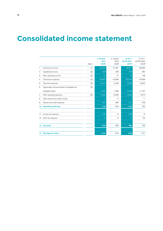### **Consolidated income statement**

|                |                                               | Notes | 2. Quarter<br>2021<br><b>kEUR</b> | 2. Quarter<br>2020<br><b>kEUR</b> | $01/01/-$<br>30/06/2021<br><b>kEUR</b> | $01/01/-$<br>30/06/2020<br><b>kEUR</b> |  |  |  |  |  |
|----------------|-----------------------------------------------|-------|-----------------------------------|-----------------------------------|----------------------------------------|----------------------------------------|--|--|--|--|--|
| $\mathbf{1}$ . | Commission income                             | [1]   | 32,644                            | 27,381                            | 68,611                                 | 58,820                                 |  |  |  |  |  |
| 2.             | Capitalised services                          | $[2]$ | 294                               | 256                               | 578                                    | 480                                    |  |  |  |  |  |
| 3.             | Other operating income                        | $[2]$ | 21                                | 27                                | 37                                     | 148                                    |  |  |  |  |  |
| 4.             | Commission expenses                           | $[3]$ | $-23,987$                         | $-19,683$                         | $-50,373$                              | $-42,568$                              |  |  |  |  |  |
| 5.             | Personnel expenses                            | [4]   | $-5,017$                          | $-4,436$                          | $-9,820$                               | $-8,934$                               |  |  |  |  |  |
| 6.             | Depreciation and amortisation of tangible and | [5]   |                                   |                                   |                                        |                                        |  |  |  |  |  |
|                | intangible assets                             |       | $-1,281$                          | $-1,083$                          | $-2,429$                               | $-2,187$                               |  |  |  |  |  |
| 7.             | Other operating expenses                      | [6]   | $-2,449$                          | $-2,606$                          | $-4,690$                               | $-4,812$                               |  |  |  |  |  |
| 8.             | Other interest and similar income             |       |                                   | $\circ$                           |                                        | 11                                     |  |  |  |  |  |
| 9.             | Interest and similar expenses                 |       | $-372$                            | $-360$                            | $-741$                                 | $-738$                                 |  |  |  |  |  |
| 10.            | <b>Operating profit/loss</b>                  |       | $-146$                            | $-504$                            | 1,174                                  | 220                                    |  |  |  |  |  |
|                |                                               |       |                                   |                                   |                                        |                                        |  |  |  |  |  |
| 11.            | Income tax expenses                           |       | $-100$                            | $-3$                              | $-205$                                 | $-6$                                   |  |  |  |  |  |
| 12.            | Other tax expenses                            |       | 11                                | $-2$                              | 11<br>$-24$                            |                                        |  |  |  |  |  |
|                |                                               |       |                                   |                                   |                                        |                                        |  |  |  |  |  |
|                | 13. Net profit                                |       | $-235$                            | $-509$                            | 980                                    | 190                                    |  |  |  |  |  |
|                |                                               |       |                                   |                                   |                                        |                                        |  |  |  |  |  |
|                | 14. Earnings per share                        |       | $-0.02$                           | $-0.04$                           | 0.08                                   | 0.01                                   |  |  |  |  |  |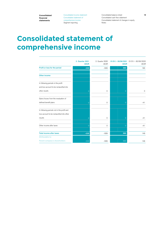Consolidated income statement Consolidated statement of comprehensive income Segment reporting

Consolidated balance sheet Consolidated cash flow statement Consolidated statement of changes in equity Notes

### **Consolidated statement of comprehensive income**

|                                            | 2. Quarter 2021<br><b>kEUR</b> | 2. Quarter 2020<br>kEUR | $01/01/- 30/06/2021$<br><b>kEUR</b> | $01/01/- 30/06/2020$<br><b>kEUR</b> |
|--------------------------------------------|--------------------------------|-------------------------|-------------------------------------|-------------------------------------|
| Profit or loss for the period              | $-235$                         | $-509$                  | 980                                 | 190                                 |
| <b>Other income</b>                        |                                |                         |                                     |                                     |
| In following periods in the profit         |                                |                         |                                     |                                     |
| and loss account to be reclassified into   |                                |                         |                                     |                                     |
| other results                              | 0                              | $\mathbf 0$             | 0                                   | $\circ$                             |
| Gains/losses from the revaluation of       |                                |                         |                                     |                                     |
| defined benefit plans                      | $\overline{0}$                 | 0                       | $\overline{0}$                      | $-41$                               |
| In following periods not in the profit and |                                |                         |                                     |                                     |
| loss account to be reclassified into other |                                |                         |                                     |                                     |
| results                                    | $\overline{0}$                 | $\mathbf 0$             | $\overline{0}$                      | $-41$                               |
| Other income after taxes                   | $\Omega$                       | $\mathbf 0$             | $\overline{0}$                      | $-41$                               |
|                                            |                                |                         |                                     |                                     |
| <b>Total income after taxes</b>            | $-235$                         | $-509$                  | 980                                 | 149                                 |
| Attributable to:                           |                                |                         |                                     |                                     |
| Parent company's shareholders              | $-235$                         | $-509$                  | 980                                 | 149                                 |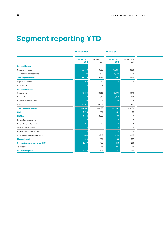# **Segment reporting YTD**

|                                     | <b>Advisortech</b> |            | <b>Advisory</b> |                |
|-------------------------------------|--------------------|------------|-----------------|----------------|
|                                     | 30/06/2021         | 30/06/2020 | 30/06/2021      | 30/06/2020     |
|                                     | <b>kEUR</b>        | kEUR       | <b>kEUR</b>     | kEUR           |
| <b>Segment income</b>               |                    |            |                 |                |
| Commission income                   | 56,449             | 49,565     | 17,291          | 13,998         |
| of which with other segments        | 609                | 621        | 4,520           | 4,122          |
| <b>Total segment income</b>         | 56,449             | 49,565     | 17,291          | 13,998         |
| Capitalised services                | 578                | 480        |                 | $\overline{0}$ |
| Other income                        | -26                | 134        |                 | 17             |
| <b>Segment expenses</b>             |                    |            |                 |                |
| Commissions                         | $-42,530$          | $-36,862$  | $-12,670$       | $-10,078$      |
| Personnel expenses                  | $-6,518$           | $-5,916$   | $-2,019$        | $-1,893$       |
| Depreciation and amortisation       | $-1,788$           | $-1,736$   | $-498$          | $-415$         |
| Other                               | $-3,511$           | $-3,678$   | $-1,714$        | $-1,597$       |
| <b>Total segment expenses</b>       | $-54,347$          | $-48,192$  | $-16,901$       | $-13,983$      |
| <b>EBIT</b>                         | 2,706              | 1,987      | 401             | 32             |
| <b>EBITDA</b>                       | 4,494              | 3,723      | 899             | 447            |
| Income from investments             |                    | $\circ$    |                 | $\overline{0}$ |
| Other interest and similar income   | 244                | 380        |                 | 8              |
| Yield on other securities           |                    | $\circ$    |                 | $\Omega$       |
| Depreciation of financial assets    |                    | $\circ$    |                 | $\overline{0}$ |
| Other interest and similar expenses | $-843$             | $-917$     | $-288$          | $-305$         |
| <b>Financial result</b>             | $-599$             | $-537$     | $-288$          | $-297$         |
| Segment earnings before tax (EBT)   | 2,107              | 1,450      | 113             | $-265$         |
| Tax expenses                        | 115                | 45         | $-284$          | $-69$          |
| Segment net profit                  | 2,222              | 1,495      | $-171$          | $-334$         |
|                                     |                    |            |                 |                |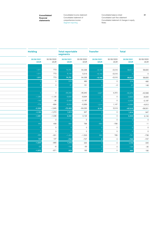Consolidated income statement Consolidated statement of comprehensive income Segment reporting

Consolidated balance sheet Consolidated cash flow statement Consolidated statement of changes in equity Notes

| <b>Holding</b>            |                    | <b>Total reportable</b><br>segments |                    | <b>Transfer</b>           |                    | <b>Total</b>              |                               |
|---------------------------|--------------------|-------------------------------------|--------------------|---------------------------|--------------------|---------------------------|-------------------------------|
| 30/06/2021<br><b>kEUR</b> | 30/06/2020<br>kEUR | 30/06/2021<br>kEUR                  | 30/06/2020<br>kEUR | 30/06/2021<br><b>kEUR</b> | 30/06/2020<br>kEUR | 30/06/2021<br><b>kEUR</b> | 30/06/2020<br>$\mathsf{kEUR}$ |
|                           |                    |                                     |                    |                           |                    |                           |                               |
| 1,011                     | 773                | 74,751                              | 64,336             | $-6,140$                  | $-5,516$           | 68,611                    | 58,820                        |
| 1,011                     | 773                | 6,140                               | 5,516              | $-6,140$                  | $-5,516$           |                           | $\circ$                       |
| 1,011                     | 773                | 74,751                              | 64,336             | $-6,140$                  | $-5,516$           | 68,611                    | 58,820                        |
|                           | $\circ$            | 578                                 | 480                |                           | $\circ$            | 578                       | 480                           |
|                           | $\circ$            | 37                                  | 151                |                           | $-3$               | 37                        | 148                           |
|                           |                    |                                     |                    |                           |                    |                           |                               |
|                           | $\circ$            | $-55,200$                           | $-46,940$          | 4,827                     | 4,372              | $-50,373$                 | $-42,568$                     |
| $-1,283$                  | $-1,125$           | $-9,820$                            | $-8,934$           |                           | $\circ$            | $-9,820$                  | $-8,934$                      |
| $-143$                    | $-36$              | $-2,429$                            | $-2,187$           |                           | $\circ$            | $-2,429$                  | $-2,187$                      |
| $-779$                    | $-684$             | $-6,004$                            | $-5,959$           | 1,314                     | 1,147              | $-4,690$                  | $-4,812$                      |
| $-2,205$                  | $-1,845$           | $-73,453$                           | $-64,020$          | 6,141                     | 5,519              | $-67,312$                 | $-58,501$                     |
| $-1,194$                  | $-1,072$           | 1,913                               | 947                |                           | $\circ$            | 1,914                     | 947                           |
| $-1,051$                  | $-1,036$           | 4,342                               | 3,134              |                           | $\circ$            | 4,343                     | 3,134                         |
|                           | $\circ$            |                                     | $\circ$            |                           | $\circ$            |                           | $\circ$                       |
| 440                       | 408                | 684                                 | 796                | $-683$                    | $-785$             |                           | 11                            |
|                           | $\circ$            |                                     | $\circ$            |                           | $\circ$            |                           | $\circ$                       |
|                           | $\circ$            |                                     | $\circ$            |                           | $\circ$            |                           | $\circ$                       |
| $-293$                    | $-301$             | $-1,424$                            | $-1,523$           | 683                       | 785                | $-741$                    | $-738$                        |
| $147$                     | 107                | $-740$                              | $-727$             |                           | $\circ$            | $-740$                    | $-727$                        |
| $-1,047$                  | $-965$             | 1,173                               | 220                |                           | $\mathsf{O}$       | 1,174                     | 220                           |
| $-25$                     | $-6$               | $-194$                              | $-30$              |                           | $\circ$            | $-194$                    | $-30$                         |
| $-1,072$                  | $-971$             | 979                                 | 190                |                           | $\mathsf{O}$       | 980                       | 190                           |
|                           |                    |                                     |                    |                           |                    |                           |                               |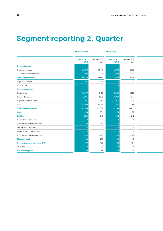### **Segment reporting 2. Quarter**

|                                     | <b>Advisortech</b>             |           | <b>Advisory</b>                         |                         |
|-------------------------------------|--------------------------------|-----------|-----------------------------------------|-------------------------|
|                                     | 2. Quarter 2021<br><b>kEUR</b> | kEUR      | 2. Quarter 2020 2. Quarter 2021<br>kEUR | 2. Quarter 2020<br>kEUR |
| <b>Segment income</b>               |                                |           |                                         |                         |
| Commission income                   | 25,848                         | 22,449    | 9,038                                   | 6,928                   |
| of which with other segments        | 209                            | 296       | 2,033                                   | 1,701                   |
| <b>Total segment income</b>         | 25,848                         | 22,449    | 9,038                                   | 6,928                   |
| Capitalised services                | 294                            | 256       |                                         | $\circ$                 |
| Other income                        |                                | 15        |                                         | $12\,$                  |
| <b>Segment expenses</b>             |                                |           |                                         |                         |
| Commissions                         | $-19,527$                      | $-16,469$ | $-6,592$                                | $-5,006$                |
| Personnel expenses                  | $-3,274$                       | $-2,920$  | $-1,099$                                | $-944$                  |
| Depreciation and amortisation       | $-956$                         | $-849$    | $-254$                                  | $-204$                  |
| Other                               | $-1,839$                       | $-2,088$  | $-824$                                  | $-748$                  |
| <b>Total segment expenses</b>       | $-25,596$                      | $-22,326$ | $-8,769$                                | $-6,902$                |
| <b>EBIT</b>                         | 558                            | 394       | 278                                     | 38                      |
| <b>EBITDA</b>                       | 1,514                          | 1,243     | 532                                     | 242                     |
| Income from investments             |                                | $\circ$   |                                         | $\circ$                 |
| Other interest and similar income   | 122                            | 180       |                                         | 3                       |
| Yield on other securities           |                                | $\circ$   |                                         | $\overline{0}$          |
| Depreciation of financial assets    |                                | $\circ$   |                                         | $\circ$                 |
| Other interest and similar expenses | $-420$                         | $-435$    | $-146$                                  | $-145$                  |
| <b>Financial result</b>             | $-298$                         | $-255$    | $-146$                                  | $-142$                  |
| Segment earnings before tax (EBT)   | 260                            | 139       | 132                                     | $-104$                  |
| Tax expenses                        | ് 61                           | 29        |                                         | $-28$                   |
| Segment net profit                  | 322                            | 168       | 34                                      | $-132$                  |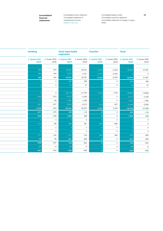**financial statements** Consolidated statement of comprehensive income Segment reporting

**Consolidated 23** Consolidated income statement Consolidated balance sheet Consolidated cash flow statement Consolidated statement of changes in equity Notes

| <b>Holding</b>                 |         | <b>Total reportable</b><br>segments            |           | <b>Transfer</b>                                |          | <b>Total</b>                            |                                    |
|--------------------------------|---------|------------------------------------------------|-----------|------------------------------------------------|----------|-----------------------------------------|------------------------------------|
| 2. Quarter 2021<br><b>kEUR</b> | kEUR    | 2. Quarter 2020 2. Quarter 2021<br><b>kEUR</b> | kEUR      | 2. Quarter 2020 2. Quarter 2021<br><b>kEUR</b> | kEUR     | 2. Quarter 2020 2. Quarter 2021<br>kEUR | 2. Quarter 2020<br>$\mathsf{kEUR}$ |
|                                |         |                                                |           |                                                |          |                                         |                                    |
| 465                            | 404     | 35,351                                         | 29,781    | $-2,707$                                       | $-2,400$ | 32,644                                  | 27,381                             |
| 465                            | 404     | 2,707                                          | 2,401     | $-2,707$                                       | $-2,400$ |                                         | $\mathsf{O}$                       |
| 465                            | 404     | 35,351                                         | 29,781    | $-2,707$                                       | $-2,400$ | 32,644                                  | 27,381                             |
|                                | $\circ$ | 294                                            | 256       |                                                | $\circ$  | 294                                     | 256                                |
|                                | $\circ$ | 21                                             | 27        |                                                | $\circ$  | 21                                      | 27                                 |
|                                |         |                                                |           |                                                |          |                                         |                                    |
|                                | $\circ$ | $-26,119$                                      | $-21,475$ | 2,132                                          | 1,792    | $-23,987$                               | $-19,683$                          |
| $-644$                         | $-573$  | $-5,017$                                       | $-4,436$  |                                                | $\circ$  | $-5,017$                                | $-4,436$                           |
| $-71$                          | $-29$   | $-1,281$                                       | $-1,083$  |                                                | $\circ$  | $-1,281$                                | $-1,083$                           |
| $-361$                         | $-377$  | $-3,024$                                       | $-3,213$  | 575                                            | 607      | $-2,449$                                | $-2,606$                           |
| $-1,076$                       | $-979$  | $-35,441$                                      | $-30,207$ | 2,707                                          | 2,400    | $-32,734$                               | $-27,808$                          |
| $-611$                         | $-575$  | 225                                            | $-144$    |                                                | $\circ$  | 225                                     | $-144$                             |
| $-540$                         | $-546$  | 1,506                                          | 939       |                                                | $\circ$  | 1,506                                   | 939                                |
|                                | $\circ$ |                                                | $\circ$   |                                                | $\circ$  |                                         | $\mathsf{O}$                       |
| 214                            | 198     | 336                                            | 381       | $-335$                                         | $-380$   |                                         | $\circ$                            |
|                                | $\circ$ |                                                | $\circ$   |                                                | $\circ$  |                                         | $\circ$                            |
|                                | $\circ$ |                                                | $\circ$   |                                                | $\circ$  |                                         | $\circ$                            |
| $-141$                         | $-160$  | $-707$                                         | $-740$    | 335                                            | 380      | $-372$                                  | $-360$                             |
| 73                             | 38      | $-371$                                         | $-359$    |                                                | $\circ$  | $-371$                                  | $-360$                             |
| $-538$                         | $-537$  | $-146$                                         | $-502$    |                                                | $\circ$  | $-146$                                  | $-504$                             |
| $-53$                          | $-6$    | $-89$                                          | $-5$      |                                                | $\circ$  | $-89$                                   | $-5$                               |
| $-591$                         | $-543$  | $-235$                                         | $-506$    |                                                | $\circ$  | $-235$                                  | $-509$                             |
|                                |         |                                                |           |                                                |          |                                         |                                    |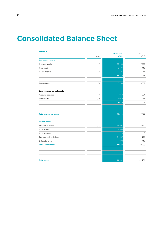### **Consolidated Balance Sheet**

| <b>Assets</b>                   |        |                           |                    |
|---------------------------------|--------|---------------------------|--------------------|
|                                 | Notes  | 30/06/2021<br><b>kEUR</b> | 31/12/2020<br>kEUR |
|                                 |        |                           |                    |
| <b>Non-current assets</b>       |        |                           |                    |
| Intangible assets               | $[7]$  | 51,438                    | 47,930             |
| Fixed assets                    |        | 5,137                     | 5,117              |
| Financial assets                | [8]    | 184                       | 216                |
|                                 |        | 56,759                    | 53,263             |
| Deferred taxes                  |        | 3,293                     | 3,552              |
| Long-term non-current assets    |        |                           |                    |
| Accounts receivable             | $[10]$ | 978                       | 891                |
| Other assets                    | $[10]$ | 1,072                     | 1,746              |
|                                 |        | 2,050                     | 2,637              |
|                                 |        |                           |                    |
| <b>Total non-current assets</b> |        | 62,102                    | 59,452             |
| <b>Current assets</b>           |        |                           |                    |
| Accounts receivable             | $[11]$ | 15,205                    | 18,364             |
| Other assets                    | $[11]$ | 1,935                     | 1,838              |
| Other securities                |        | $\overline{0}$            | $\Omega$           |
| Cash and cash equivalents       |        | 14,567                    | 11,718             |
| Deferred charges                |        | 882                       | 419                |
| <b>Total current assets</b>     |        | 32,589                    | 32,339             |
|                                 |        |                           |                    |
|                                 |        |                           |                    |
| <b>Total assets</b>             |        | 94,691                    | 91,791             |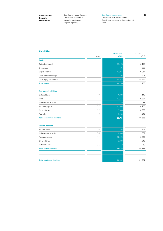Consolidated income statement Consolidated statement of comprehensive income Segment reporting

#### Consolidated balance sheet Consolidated cash flow statement Consolidated statement of changes in equity Notes

### **Liabilities**

|                                      | 30/06/2021 |             | 31/12/2020  |
|--------------------------------------|------------|-------------|-------------|
|                                      | Notes      | <b>kEUR</b> | <b>kEUR</b> |
| <b>Equity</b>                        |            |             |             |
| Subscribed capital                   |            | 13,128      | 13,128      |
| Own shares                           |            | $-505$      | $-505$      |
| Capital reserves                     |            | 19,064      | 19,064      |
| Other retained earnings              |            | 423         | 423         |
| Other equity components              |            | $-3,842$    | $-4,822$    |
| <b>Total equity</b>                  |            | 28,268      | 27,288      |
| <b>Non-current liabilities</b>       |            |             |             |
| Deferred taxes                       | $[9]$      | 4,636       | 4,140       |
| Bond                                 |            | 19,414      | 19,337      |
| Liabilities due to banks             | $[12]$     | 32          | 33          |
| Accounts payable                     | $[12]$     | 10,603      | 10,280      |
| Other liabilities                    | $[12]$     | 3,606       | 3,636       |
| Accruals                             | $[13]$     | 1,450       | 1,240       |
| <b>Total non-current liabilities</b> |            | 39,741      | 38,666      |
| <b>Current liabilities</b>           |            |             |             |
| Accrued taxes                        | $[14]$     | 468         | 284         |
| Liabilities due to banks             | $[14]$     | 1,085       | 1,067       |
| Accounts payable                     | $[14]$     | 17,420      | 19,872      |
| Other liabilites                     | $[14]$     | 7,636       | 4,545       |
| Deferred income                      | $[14]$     | 73          | 69          |
| <b>Total current liabilities</b>     |            | 26,682      | 25,837      |
|                                      |            |             |             |
| <b>Total equity and liabilities</b>  |            | 94,691      | 91,791      |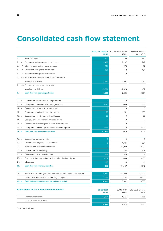### **Consolidated cash flow statement**

|         |          |                                                                                 | 01/01/-30/06/2021<br><b>kEUR</b> | 01/01/-30/06/2020<br>kEUR | Changes to previous<br>year in kEUR |
|---------|----------|---------------------------------------------------------------------------------|----------------------------------|---------------------------|-------------------------------------|
| 1.      |          | Result for the period                                                           | 980                              | 190                       | 790                                 |
| 2.      | $^{+}$   | Depreciation and amortisation of fixed assets                                   | 2,429                            | 2,187                     | 242                                 |
| З.      | $-/+$    | Other non-cash itemised income/expenses                                         | 241                              | 273                       | $-32$                               |
| 4.      |          | $-\prime$ + Profit/loss from disposals of fixed assets                          | 121                              | $-13$                     | 134                                 |
| 5.      |          | $-\prime$ + Profit/loss from disposals of fixed assets                          | $\overline{0}$                   | $\circ$                   | $\circ$                             |
| 6.      |          | -/+ Increase/decrease of inventories, accounts receivable                       |                                  |                           |                                     |
|         |          | as well as other assets                                                         | 3,186                            | 2,691                     | 495                                 |
| 7.      |          | $-$ /+ Decrease/increase of accounts payable                                    |                                  |                           |                                     |
|         |          | as well as other liabilities                                                    | $-2,091$                         | $-2,523$                  | 432                                 |
| 8.      | $\equiv$ | Cash flow from operating activities                                             | 4,866                            | 2,805                     | 2,061                               |
|         |          |                                                                                 |                                  |                           |                                     |
| 9.      | $+$      | Cash receipts from disposals of intangible assets                               | $\overline{0}$                   | 0                         | $\circ$                             |
| $10. -$ |          | Cash payments for investments in intangible assets                              | $-720$                           | $-669$                    | $-51$                               |
| $11. +$ |          | Cash receipts from disposals of fixed assets                                    | $\circ$                          | $\circ$                   | $\circ$                             |
| $12. -$ |          | Cash payments for investments in fixed assets                                   | $-98$                            | $-201$                    | 103                                 |
| $13. +$ |          | Cash receipts from disposals of financial assets                                | 32                               | $\mathsf{O}\xspace$       | 32                                  |
| $14. -$ |          | Cash payments for investments in financial assets                               | $\mathbf 0$                      | $\circ$                   | $\mathsf{O}\xspace$                 |
| $15. +$ |          | Cash receipts from the disposal of consolidated companies                       | $\overline{0}$                   | 0                         | 0                                   |
| $16. -$ |          | Cash payments for the acquisition of consolidated companies                     | $-621$                           | $\mathbf 0$               | $-621$                              |
| $17. =$ |          | <b>Cash flow from investment activities</b>                                     | $-1,407$                         | $-870$                    | $-537$                              |
|         |          |                                                                                 |                                  |                           |                                     |
| $18. +$ |          | Cash receipts/payment to equity                                                 | $\mathsf{O}\xspace$              | 0                         | $\mathbf 0$                         |
| $19. -$ |          | Payments from the purchase of own shares                                        | $\mathbf 0$                      | $-1,764$                  | 1,764                               |
| $20. -$ |          | Payments from the redemption of bonds                                           | $\overline{O}$                   | $-12,292$                 | 12,292                              |
| $21. +$ |          | Cash receipts from borrowings                                                   | $\overline{O}$                   | 403                       | $-403$                              |
| $22. -$ |          | Cash payments from loan redemptions                                             | $-18$                            | $-46$                     | 28                                  |
| $23. -$ |          | Payments for the repayment part of the rental and leasing obligations           | $-582$                           | $-449$                    | $-133$                              |
| $24. -$ |          | Interest paid                                                                   | $-10$                            | $-9$                      | $-1$                                |
| $25. =$ |          | Cash flow from financing activities                                             | $-610$                           | $-14,157$                 | 13,547                              |
|         |          |                                                                                 |                                  |                           |                                     |
| 26.     |          | Non-cash itemised changes in cash and cash equivalents (total of pos. 8,17, 25) | 2,849                            | $-12,222$                 | 15,071                              |
| 27.     |          | Cash and cash equivalents at the beginning of the period                        | 11,718                           | 21,124                    | $-9,406$                            |
| $28. =$ |          | Cash and cash equivalents at the end of the period                              | 14,567                           | 8,902                     | 5,665                               |
|         |          | <b>Breakdown of cash and cash equivalents</b>                                   | 30/06/2021<br><b>kEUR</b>        | 30/06/2020<br>kEUR        | Changes to previous<br><b>kEUR</b>  |
|         |          | Cash and cash in banks                                                          | 14,567                           | 8,902                     | 5,665                               |
|         |          | Current liabilities due to banks                                                | $\overline{0}$                   | $\mathsf{O}\xspace$       | 0                                   |
|         |          |                                                                                 | 14,567                           | 8,902                     | 5,665                               |

\*previous year adjusted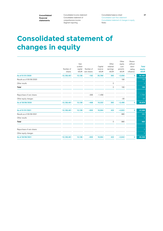Consolidated income statement Consolidated statement of comprehensive income Segment reporting

Consolidated balance sheet Consolidated cash flow statement Consolidated statement of changes in equity Notes

# **Consolidated statement of changes in equity**

| Number of<br>shares | Sub-<br>scribed<br>capital<br>kEUR | Number of<br>own shares | Capital<br>reserve<br>kEUR | Other<br>retained<br>earnings<br>kEUR | Other<br>equity<br>com-<br>ponents<br>kEUR | Shares<br>without<br>domi-<br>nating<br>influence | <b>Total</b><br>equity<br><b>kEUR</b> |
|---------------------|------------------------------------|-------------------------|----------------------------|---------------------------------------|--------------------------------------------|---------------------------------------------------|---------------------------------------|
| 13,128,461          | 13,128                             | $-162$                  | 20,780                     | 392                                   | $-3,656$                                   | 0                                                 | 30,482                                |
|                     |                                    |                         |                            |                                       | 190                                        |                                                   | 190                                   |
|                     |                                    |                         |                            | $\circ$                               |                                            |                                                   | $\circ$                               |
|                     |                                    |                         |                            | $\circ$                               | 190                                        |                                                   | 190                                   |
|                     |                                    |                         |                            |                                       |                                            |                                                   |                                       |
|                     |                                    | $-306$                  | $-1,458$                   |                                       |                                            |                                                   | $-1,764$                              |
|                     |                                    |                         |                            |                                       | $-30$                                      |                                                   | $-30$                                 |
| 13,128,461          | 13,128                             | $-468$                  | 19,322                     | 392                                   | $-3,496$                                   | 0                                                 | 28,878                                |
| 13,128,461          | 13,128                             | $-505$                  | 19,064                     | 423                                   | $-4,822$                                   | 0                                                 | 27,288                                |
|                     |                                    |                         |                            |                                       | 980                                        |                                                   | 980                                   |
|                     |                                    |                         |                            |                                       |                                            |                                                   | $\circ$                               |
|                     |                                    |                         |                            | $\circ$                               | 980                                        |                                                   | 980                                   |
|                     |                                    |                         |                            |                                       |                                            |                                                   |                                       |
|                     |                                    |                         |                            |                                       |                                            |                                                   | $\circ$                               |
|                     |                                    |                         |                            |                                       |                                            |                                                   | $\circ$                               |
| 13,128,461          | 13,128                             | $-505$                  | 19,064                     | 423                                   | $-3,842$                                   | 0                                                 | 28,268                                |
|                     |                                    |                         |                            |                                       |                                            |                                                   |                                       |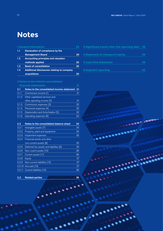# **Notes**

|     | <b>1 General information</b>               |    |
|-----|--------------------------------------------|----|
| 1.1 | Declaration of compliance by the           |    |
|     | <b>Management Board</b>                    | 29 |
| 1.2 | <b>Accounting principles and valuation</b> |    |
|     | methods applied                            | 30 |
| 1.3 | <b>Basis of consolidation</b>              | 30 |
| 1.4 | Additional disclosures relating to company |    |
|     | acquisitions                               | 30 |

| 2.1   | Notes to the consolidated income statement 31 |    |
|-------|-----------------------------------------------|----|
| 2.1.1 | Commission income [1]                         | 31 |
| 2.1.2 | Other capitalised services and                |    |
|       | other operating income [2]                    | 31 |
| 2.1.3 | Commission expenses [3]                       | 32 |
| 2.1.4 | Personnel expenses [4]                        | 32 |
| 2.1.5 | Depreciation and Amortisation [5]             | 32 |
| 2.1.6 | Operating expenses [6]                        | 33 |

| 2.2                | Notes to the consolidated balance sheet | 34 |
|--------------------|-----------------------------------------|----|
| 2.2.1              | Intangible assets [7]                   | 34 |
| 2.2.2              | Property, plant and equipment           | 34 |
| 2.2.3              | Impairment expenses                     | 35 |
| $2.2.\overline{4}$ | Financial assets and other              |    |
|                    | non-current assets [8]                  | 35 |
| 2.2.5              | Deferred tax assets and liabilities [9] | 35 |
| 2.2.6              | Non-curent assets [10]                  | 36 |
| 2.2.7              | Current assets [11]                     | 36 |
| 2.2.8              | Equity                                  | 37 |
| 2.2.9              | Non-current liabilities [12]            | 37 |
|                    | 2.2.10 Accruals [13]                    | 37 |
| 2.2.11             | Current liabilities [14]                | 38 |
|                    |                                         |    |

### **2.3 Related parties 38**

| 3 Significant events after the reporting date | 39 |
|-----------------------------------------------|----|
|                                               |    |
| 4 Statement of changes in equity              | 39 |
|                                               |    |
| <b>5 Cash Flow Statement</b>                  | 39 |
|                                               |    |
| <b>6 Segment reporting</b>                    |    |

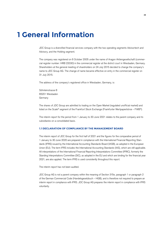### **1 General Information**

JDC Group is a diversified financial services company with the two operating segments Advisortech and Advisory, and the Holding segment.

The company was registered on 6 October 2005 under the name of Aragon Aktiengesellschaft (commercial register number: HRB 22030) in the commercial register at the district court in Wiesbaden, Germany. Shareholders at the general meeting of shareholders on 24 July 2015 decided to change the company's name to JDC Group AG. The change of name became effective on entry in the commercial register on 31 July 2015.

The address of the company's registered office in Wiesbaden, Germany, is:

Söhnleinstrasse 8 65201 Wiesbaden Germany

The shares of JDC Group are admitted to trading on the Open Market (regulated unofficial market) and listed on the Scale® segment of the Frankfurt Stock Exchange (Frankfurter Wertpapierbörse – FWB®).

The interim report for the period from 1 January to 30 June 2021 relates to the parent company and its subsidiaries on a consolidated basis.

#### **1.1 DECLARATION OF COMPLIANCE BY THE MANAGEMENT BOARD**

The interim report of JDC Group for the first half of 2021 and the figures for the comparative period of 1 January to 30 June 2020 are prepared in compliance with the International Financial Reporting Standards (IFRS) issued by the International Accounting Standards Board (IASB), as adopted in the European Union (EU). The term IFRS includes the International Accounting Standards (IAS), which are still applicable. All interpretations of the International Financial Reporting Interpretations Committee (IFRIC), formerly the Standing Interpretations Committee (SIC), as adopted in the EU and which are binding for the financial year 2021, are also applied. The term IFRS is used consistently throughout this report.

The interim report has not been audited.

JDC Group AG is not a parent company within the meaning of Section 315e, paragraph 1 or paragraph 2 of the German Commercial Code (Handelsgesetzbuch – HGB), and is therefore not required to prepare an interim report in compliance with IFRS. JDC Group AG prepares the interim report in compliance with IFRS voluntarily.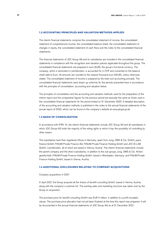#### **1.2 ACCOUNTING PRINCIPLES AND VALUATION METHODS APPLIED**

The interim financial statements comprise the consolidated statement of income, the consolidated statement of comprehensive income, the consolidated balance sheet, the consolidated statement of changes in equity, the consolidated statement of cash flows and the notes to the consolidated financial statements.

The financial statements of JDC Group AG and its subsidiaries are included in the consolidated financial statements in compliance with the recognition and valuation policies applicable throughout the group. The consolidated financial statements are prepared in euro (EUR), the group's functional currency. The company, which is domiciled in Liechtenstein, is accounted for in CHF and converted on the balance sheet date to Euro. All amounts are rounded to the nearest thousand euro (kEUR), unless otherwise stated. The consolidated statement of income is prepared by the total cost accounting principle. The consolidated financial statements were drawn up uniformly for the periods presented here in accordance with the principles of consolidation, accounting and valuation below.

The principles of consolidation and the accounting and valuation methods used for the preparation of the interim report and the comparative figures for the previous period are basically the same as those used in the consolidated financial statements for the period ended on 31 December 2020. A detailed description of the accounting and valuation methods is published in the notes to the annual financial statements of the annual report of 2020, which can be found on the company's website at www.jdcgroup.de.

#### **1.3 BASIS OF CONSOLIDATION**

In accordance with IFRS 10, the interim financial statements include JDC Group AG and all subsidiaries in which JDC Group AG holds the majority of the voting rights or which it has the possibility of controlling by other means.

The subsidiaries have their registered offices in Germany, apart from Jung, DMS & Cie. GmbH; jupoo finance GmbH; FiNUM.Private Finance AG; FiNUM.Private Finance Holding GmbH and JDC B-LAB GmbH, Liechtenstein, all of which are based in Vienna, Austria. The interim financial statements include the parent company and the direct subsidiaries, in addition to the sub-groups Jung, DMS & Cie. Aktiengesellschaft; FiNUM.Private Finance Holding GmbH, based in Wiesbaden, Germany; and FiNUM.Private Finance Holding GmbH, based in Vienna, Austria.

#### **1.4 ADDITIONAL DISCLOSURES RELATING TO COMPANY ACQUISITIONS**

#### Company acquisitions in 2021

In April 2021 the Group acquired all the shares of benefit consulting GmbH, based in Vienna, Austria, along with the company's customer list. The existing sales and marketing structure was taken over by the Group on acquisition.

The purchase price for benefit consulting GmbH was EUR 4 million, in addition to a profit escalator clause. The purchase price allocation had not yet been finalised at the time this report was prepared. It will be documented in the annual financial statements of JDC Group AG as at 31 December 2021.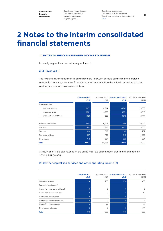Consolidated income statement Consolidated statement of comprehensive income Segment reporting

Consolidated balance sheet Consolidated cash flow statement Consolidated statement of changes in equity Notes

# **2 Notes to the interim consolidated financial statements**

#### **2.1 NOTES TO THE CONSOLIDATED INCOME STATEMENT**

Income by segment is shown in the segment report.

#### 2.1.1 Revenues [1]

The revenues mainly comprise initial commission and renewal or portfolio commission on brokerage services for insurance, investment funds and equity investments/closed-end funds, as well as on other services, and can be broken down as follows:

|                         | 2. Quarter 2021<br><b>kEUR</b> | 2. Quarter 2020<br><b>kEUR</b> | 01/01/-30/06/2021<br><b>kEUR</b> | 01/01/-30/06/2020<br>kEUR |
|-------------------------|--------------------------------|--------------------------------|----------------------------------|---------------------------|
| Initial commission      |                                |                                |                                  |                           |
| Insurance products      | 16,872                         | 13,314                         | 35,749                           | 29,368                    |
| Investment funds        | 4,204                          | 4,322                          | 8,394                            | 8,340                     |
| Shares/Closed-end funds | 1,626                          | 965                            | 3,016                            | 2,444                     |
| Follow-up commission    | 5,903                          | 5,023                          | 11,655                           | 10,292                    |
| Overrides               | 1,403                          | 1,316                          | 3,917                            | 3,553                     |
| Services                | 890                            | 796                            | 2,140                            | 1,707                     |
| Fee-based advisory      | 997                            | 708                            | 1,940                            | 1,365                     |
| Other income            | 749                            | 937                            | 1,800                            | 1,751                     |
| Total                   | 32,644                         | 27,381                         | 68,611                           | 58,820                    |

At kEUR 68,611, the total revenue for the period was 16.6 percent higher than in the same period of 2020 (kEUR 58,820).

#### 2.1.2 Other capitalised services and other operating income [2]

|                                     | 2. Quarter 2021<br><b>kEUR</b> | 2. Quarter 2020<br><b>kEUR</b> | 01/01/-30/06/2021<br><b>kEUR</b> | 01/01/-30/06/2020<br>kEUR |
|-------------------------------------|--------------------------------|--------------------------------|----------------------------------|---------------------------|
| Capitalised services                | 294                            | 256                            | 578                              | 480                       |
| Reversal of impairments/            |                                |                                |                                  |                           |
| income from receivables written off |                                | 0                              |                                  | $\Omega$                  |
| Income from provision's release     |                                | 9                              |                                  | 12                        |
| Income from security sales          |                                | $\Omega$                       |                                  | $\Omega$                  |
| Income from statute-barred debt     |                                | 0                              |                                  | 6                         |
| Income from benefits in kind        | 10                             | 11                             | 21                               | 22                        |
| Other operating income              | 9                              | 7                              | 9                                | 108                       |
| <b>Total</b>                        | 315                            | 283                            | 615                              | 628                       |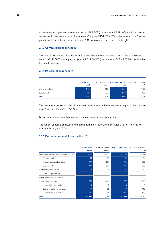Other own work capitalised, which amounted to kEUR 578 (previous year: kEUR 480) mainly include the development of software solutions for own use (Compass, iCRM/iCRM-Web, allesmeins and the Geld.de portal). For further information see note 2.2.1.1 Concessions and industrial property rights.

#### 2.1.3 Commission expenses [3]

This item mainly consists of commissions for independent brokers and sales agents. The commissions were up kEUR 7,805 on the previous year, at kEUR 50,373 (previous year kEUR 42,568) in line with the increase in revenue.

#### 2.1.4 Personnel expenses [4]

|                    | 2. Quarter 2021<br><b>kEUR</b> | 2. Quarter 2020<br>kEUR | 01/01/-30/06/2021<br><b>kEUR</b> | 01/01/-30/06/2020<br>kEUR |
|--------------------|--------------------------------|-------------------------|----------------------------------|---------------------------|
| Wages and salaries | 4,192                          | 3.713                   | 8,213                            | 7.499                     |
| Social security    | 825                            | 723                     | 1.607                            | 1.435                     |
| <b>Total</b>       | 5,017                          | 4.436                   | 9,820                            | 8.934                     |

The personnel expenses mainly include salaries, emoluments and other remuneration paid to the Management Board and the staff of JDC Group.

Social security comprises the employer's statutory social security contributions.

The number of people employed by the group during the financial year averaged 278 (full-time equivalents) (previous year: 277).

#### 2.1.5 Depreciation and Amortisation [5]

|                                                    | 2. Quarter 2021<br><b>kEUR</b> | 2. Quarter 2020<br><b>kEUR</b> | 01/01/-30/06/2021<br><b>kEUR</b> | 01/01/-30/06/2020<br>kEUR |
|----------------------------------------------------|--------------------------------|--------------------------------|----------------------------------|---------------------------|
| Depreciation and amortization of intangible assets | $-915$                         | $-786$                         | $-1,752$                         | $-1,594$                  |
| Purchased software                                 | $-64$                          | $-68$                          | $-111$                           | $-134$                    |
| Internally developed software                      | $-407$                         | $-361$                         | $-786$                           | $-692$                    |
| Customer lists                                     | $-438$                         | $-351$                         | $-843$                           | $-756$                    |
| Contract preparation costs                         | $-6$                           | $-6$                           | $-12$                            | $-12$                     |
| Other intangible assets                            | 0                              | $\Omega$                       | $\mathbf{0}$                     | 0                         |
| Depreciation and amortization of                   |                                |                                |                                  |                           |
| property and equipment                             | $-366$                         | $-297$                         | $-677$                           | $-593$                    |
| Leasehold improvements                             | 0                              | $-3$                           | $\mathbf{0}$                     | $-5$                      |
| Operating and office equipment                     | $-97$                          | $-60$                          | $-187$                           | $-119$                    |
| Rights of use rental and leasing                   | $-269$                         | $-234$                         | $-490$                           | $-469$                    |
| <b>Total</b>                                       | $-1,281$                       | $-1,083$                       | $-2,429$                         | $-2,187$                  |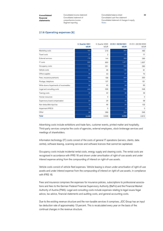Consolidated income statement Consolidated statement of comprehensive income Segment reporting

Consolidated balance sheet Consolidated cash flow statement Consolidated statement of changes in equity Notes

#### 2.1.6 Operating expenses [6]

|                                         | 2. Quarter 2021<br><b>kEUR</b> | 2. Quarter 2020<br>kEUR | 01/01/-30/06/2021<br><b>kEUR</b> | 01/01/-30/06/2020<br>kEUR |
|-----------------------------------------|--------------------------------|-------------------------|----------------------------------|---------------------------|
| Marketing costs                         | 164                            | 218                     | 354                              | 483                       |
| Travel costs                            | 21                             | $\overline{2}$          | $-25$                            | 77                        |
| External services                       | 178                            | 144                     | 359                              | 290                       |
| <b>IT</b> costs                         | 926                            | 800                     | 1,877                            | 1,607                     |
| Occupancy costs                         | 139                            | 201                     | 340                              | 390                       |
| Vehicle costs                           | 41                             | 46                      | 106                              | 81                        |
| Office supplies                         | 34                             | 43                      | 67                               | 70                        |
| Fees, insurance premiums                | 193                            | 168                     | 343                              | 300                       |
| Postage, telephone                      | 74                             | 107                     | 134                              | 161                       |
| Write-downs/impairments of receiveables | 56                             | 45                      | 99                               | 60                        |
| Legal and consulting costs              | 449                            | 336                     | 685                              | 548                       |
| Training costs                          | 20                             | 22                      | 38                               | 39                        |
| Human resources                         | 4                              | $\mathbf 0$             | 5                                | $\mathbf 0$               |
| Supervisory board compensation          | 23                             | 29                      | 45                               | 58                        |
| Non-deductible input tax                | 15                             | 46                      | 26                               | 102                       |
| Impairment IFRS 9                       | 13                             | $\mathbf 0$             | 13                               | $\mathbf{0}$              |
| Other                                   | 99                             | 399                     | 224                              | 546                       |
| <b>Total</b>                            | 2,449                          | 2,606                   | 4,690                            | 4,812                     |

Advertising costs include exhibitions and trade fairs, customer events, printed matter and hospitality. Third-party services comprise the costs of agencies, external employees, stock brokerage services and meetings of shareholders.

Information technology (IT) costs consist of the costs of general IT operations (servers, clients, data centre), software leasing, scanning services and software licences that cannot be capitalised.

Occupancy costs include incidental rental costs, energy supply and cleaning costs. The rental costs are recognised in accordance with IFRS 16 and shown under amortisation of right-of-use assets and under interest expense arising from the compounding of interest on right-of-use assets.

Vehicle costs consist of vehicle fleet expenses. Vehicle leasing is shown under amortisation of right-of-use assets and under interest expense from the compounding of interest on right-of-use assets, in compliance with IFRS 16.

Fees and insurance comprises the expenses for insurance policies, subscriptions to professional associations and fees to the German Federal Financial Supervisory Authority (BaFin) and the Financial Market Authority of Austria (FMA). Legal and consulting costs include expenses relating to legal issues/legal advice, tax advice, financial statements and auditing costs, and general accounting costs.

Due to the existing revenue structure and the non-taxable services it comprises, JDC Group has an input tax deduction rate of approximately 13 percent. This is recalculated every year on the basis of the continual changes in the revenue structure.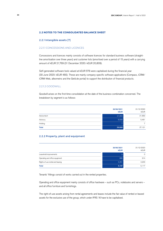#### **2.2 NOTES TO THE CONSOLIDATED BALANCE SHEET**

#### 2.2.1 Intangible assets [7]

#### 2.2.1.1 CONCESSIONS AND LICENCES

Concessions and licences mainly consists of software licences for standard business software (straightline amortisation over three years) and customer lists (amortised over a period of 15 years) with a carrying amount of kEUR 21,769 (31 December 2020: kEUR 20,809).

Self-generated software tools valued at kEUR 578 were capitalised during the financial year (30 June 2020: kEUR 480). These are mainly company-specific software applications (Compass, iCRM/ iCRM-Web, allesmeins and the Geld.de portal) to support the distribution of financial products.

#### 2.2.1.2 GOODWILL

Goodwill arises on the first-time consolidation at the date of the business combination concerned. The breakdown by segment is as follows:

|              | 30/06/2021<br><b>kEUR</b> | 31/12/2020<br>kEUR |
|--------------|---------------------------|--------------------|
| Advisortech  | 21,653                    | 21,653             |
| Advisory     | 8,009                     | 5,461              |
| Holding      |                           | 7                  |
| <b>Total</b> | 29,669                    | 27,121             |

#### 2.2.2 Property, plant and equipment

|                                  | 30/06/2021<br><b>kEUR</b> | 31/12/2020<br>kEUR |
|----------------------------------|---------------------------|--------------------|
| Leasehold improvements           | 0                         | 0                  |
| Operating and office equipment   | 886                       | 914                |
| Rights of use rental and leasing | 4,251                     | 4,203              |
| <b>Total</b>                     | 5,137                     | 5,117              |

Tenants' fittings consist of works carried out in the rented properties.

Operating and office equipment mainly consists of office hardware – such as PCs, notebooks and servers – and all office furniture and furnishings.

The right-of-use assets arising from rental agreements and leases include the fair value of rented or leased assets for the exclusive use of the group, which under IFRS 16 have to be capitalised.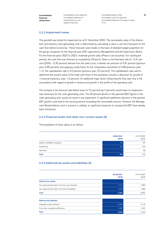Consolidated income statement Consolidated statement of comprehensive income Segment reporting

Consolidated balance sheet Consolidated cash flow statement Consolidated statement of changes in equity Notes

#### 2.2.3 Impairment losses

The goodwill was tested for impairment as at 31 December 2020. The recoverable value of the Advisortech and Advisory cash-generating units is determined by calculating a value in use from forecasts for the cash flow before income tax. These forecasts were made on the basis of detailed budget projections for the group companies for the financial year 2021 approved by Management and the Supervisory Board. For the financial years 2022 to 2023, moderate growth rates (Phase I) are assumed. For subsequent periods, the cash flow was forecast as a perpetuity (Phase II). Given a risk-free base rate of –0.31 percent (2020: –0.35 percent) derived from the yield curve, a market risk premium of 5.81 percent (previous year: 5.85 percent), and applying a beta factor for the comparative investment of 0.88 (previous year: 1.11), the capitalisation rate is 5.5 percent (previous year: 6.0 percent). The capitalisation rate used to determine the present value of the initial cash flows of the perpetuity includes a deduction for growth of 1.0 percent (previous year: 1.0 percent). An additional major factor influencing the free cash flow is the assumptions with regard to growth in revenue and growth in the profits of the operating units.

The increase in the discount rate before taxes to 7.5 percent (up 2 percent) would mean no impairment was necessary for the cash-generating units. The 20 percent decline in the planned EBIT figures in the cash-generating units would not result in any impairment. A significant additional reduction in the planned EBT growth could lead to the carrying amount exceeding the recoverable amount. However, the Management Board believes such a scenario is unlikely, as significant measures to increase the EBT have already been introduced.

#### 2.2.4 Financial assets and other non-current assets [8]

**30/06/2021** 31/12/2020 **kEUR** kEUR Shares in affiliated companies Investments Securities **Total** 55  $103$ 6 **184** 55  $103$ 38 216

#### The breakdown of book values is as follows:

#### 2.2.5 Deferred tax assets and liabilities [9]

|                                                     | 30/06/2021<br><b>kEUR</b> | 31/12/2020<br><b>kEUR</b> |
|-----------------------------------------------------|---------------------------|---------------------------|
| <b>Deferred tax assets</b>                          |                           |                           |
| Tax reimbursement claims from loss carry-forwards   | 1,715                     | 1,863                     |
| Tax reimbursement claims from financial liabilities | 1,578                     | 1,689                     |
| <b>Total</b>                                        | 3,293                     | 3,552                     |
| <b>Deferred tax liabilities</b>                     |                           |                           |
| Intangible assets (software)                        | 3,349                     | 2,718                     |
| From other recognition differences                  | 1,287                     | 1,422                     |
| <b>Total</b>                                        | 4,636                     | 4,140                     |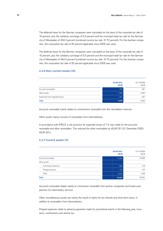The deferred taxes for the German companies were calculated on the basis of the corporate tax rate of 15 percent, plus the solidarity surcharge of 5.5 percent and the municipal trade tax rate for the German city of Wiesbaden of 454.0 percent (combined income tax rate: 31.72 percent). For the Austrian companies, the corporation tax rate of 25 percent applicable since 2005 was used.

The deferred taxes for the German companies were calculated on the basis of the corporate tax rate of 15 percent, plus the solidarity surcharge of 5.5 percent and the municipal trade tax rate for the German city of Wiesbaden of 454.0 percent (combined income tax rate: 31.72 percent). For the Austrian companies, the corporation tax rate of 25 percent applicable since 2005 was used.

#### 2.2.6 Non-current assets [10]

|                                 | 30/06/2021<br><b>kEUR</b> | 31/12/2020<br>kEUR |
|---------------------------------|---------------------------|--------------------|
| Accounts receivables            | 978                       | 891                |
| Other assets                    | 1,393                     | 2.067              |
| Impairment from expected losses | $-321$                    | $-321$             |
| <b>Total</b>                    | 2,050                     | 2,637              |

Accounts receivable mainly relates to commissions receivable from the cancellation reserves.

Other assets mainly consists of receivables from intermediaries.

In accordance with IFRS 9, a risk provision for expected losses of 7% was made for the accounts receivable and other receivables. This reduced the other receivables by kEUR 321 (31 December 2020: kEUR 321).

#### 2.2.7 Current assets [11]

|                     | 30/06/2021<br><b>kEUR</b> | 31/12/2020<br><b>kEUR</b> |
|---------------------|---------------------------|---------------------------|
| Accounts receivable | 15,205                    | 18,364                    |
| Other assets        |                           |                           |
| Commission advances | 882                       | 419                       |
| Prepaid expenses    | $-107$                    | $-107$                    |
| Other               | 2,042                     | 1,945                     |
| <b>Total</b>        | 18,022                    | 20,621                    |

Accounts receivable relates mainly to commission receivable from partner companies and broker pool partners for intermediary services.

Other miscellaneous assets are mainly the result of claims for tax refunds and short-term loans, in addition to receivables from intermediaries.

Prepaid expenses relate to advance payments made for promotional events in the following year, insurance, contributions and vehicle tax.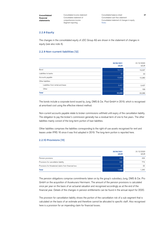Consolidated income statement Consolidated statement of comprehensive income Segment reporting

Consolidated balance sheet Consolidated cash flow statement Consolidated statement of changes in equity **Notes** 

#### 2.2.8 Equity

The changes in the consolidated equity of JDC Group AG are shown in the statement of changes in equity (see also note 4).

#### 2.2.9 Non-current liabilities [12]

|                                   | 30/06/2021<br><b>kEUR</b> | 31/12/2020<br><b>kEUR</b> |
|-----------------------------------|---------------------------|---------------------------|
| Bond                              | 19,414                    | 19,337                    |
| Liabilities to banks              | 32                        | 33                        |
| Accounts payable                  | 10,603                    | 10,280                    |
| Other liabilities                 |                           |                           |
| Liabilities from rental and lease | 3,407                     | 3,437                     |
| Other                             | 199                       | 199                       |
| <b>Total</b>                      | 33,655                    | 33,286                    |

The bonds include a corporate bond issued by Jung, DMS & Cie. Pool GmbH in 2019, which is recognised at amortised cost using the effective interest method.

Non-current accounts payable relate to broker commissions withheld until expiry of the cancellation liability. The obligation to pay the broker's commission generally has a residual term of one to five years. The other liabilities mainly consist of the long-term portion of loan liabilities.

Other liabilities comprises the liabilities corresponding to the right-of-use assets recognised for rent and leases under IFRS 16 since it was first adopted in 2019. The long-term portion is reported here.

#### 2.2.10 Provisions [13]

|                                                      | 30/06/2021<br><b>kEUR</b> | 31/12/2020<br><b>kEUR</b> |
|------------------------------------------------------|---------------------------|---------------------------|
| Pension provisions                                   | 434                       | 434                       |
| Provisions for cancellation liability                | 986                       | 774                       |
| Provisions for threatened claims from financial loss | 30                        | 32                        |
| <b>Total</b>                                         | 1,450                     | 1.240                     |

The pension obligations comprise commitments taken on by the group's subsidiary Jung, DMS & Cie. Pro GmbH on the acquisition of Assekuranz Herrmann. The amount of the pension provisions is calculated once per year on the basis of an actuarial valuation and recognised accordingly as at the end of the financial year. Details of the changes in pension entitlements can be found in the annual report for 2020.

The provision for cancellation liability shows the portion of the cancellation risk of a sub-segment that is calculated on the basis of an estimate and therefore cannot be allocated to specific staff. Also recognised here is a provision for an impending claim for financial losses.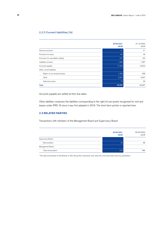### 2.2.11 Current liabilities [14]

|                                       | 30/06/2021<br><b>kEUR</b> | 31/12/2020<br><b>kEUR</b> |
|---------------------------------------|---------------------------|---------------------------|
| Pension provisions                    | 41                        | 41                        |
| Provisions for taxes                  | 180                       | 49                        |
| Provisions for cancellation liability | 247                       | 194                       |
| Liabilities to banks                  | 1,085                     | 1,067                     |
| Accounts payable                      | 17,420                    | 19,872                    |
| Other current liabilities             |                           |                           |
| Rights of use rental and lease        | 1,082                     | 938                       |
| Other                                 | 6,554                     | 3,607                     |
| Deferred income                       | 73                        | 69                        |
| <b>Total</b>                          | 26,682                    | 25,837                    |

Accounts payable are settled at their due dates.

Other liabilities comprises the liabilities corresponding to the right-of-use assets recognised for rent and leases under IFRS 16 since it was first adopted in 2019. The short-term portion is reported here.

### **2.3 RELATED PARTIES**

Transactions with members of the Management Board and Supervisory Board:

|                     | 30/06/2021<br><b>kEUR</b> | 30/06/2020<br>kEUR |
|---------------------|---------------------------|--------------------|
| Supervisory Board   |                           |                    |
| Remuneration        | 45                        | 58                 |
| Management Board    |                           |                    |
| Total remuneration* | 576                       | 486                |

\* The total remuneration of the Boards of JDC Group AG is disclosed, even when the costs have been borne by subsidiaries.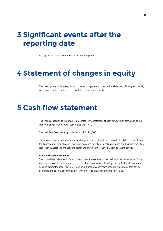### **3 Significant events after the reporting date**

No significant events occurred after the reporting date.

### **4 Statement of changes in equity**

The development in Group equity as of the reporting date is shown in the statement of changes in equity, which forms part of the interim consolidated financial statements.

### **5 Cash flow statement**

The financial position of the group is presented in the statement of cash flows, which forms part of the interim financial statements in accordance with IFRS.

The cash flow from operating activities was kEUR 4,866.

The statement of cash flows shows the changes in the cash and cash equivalents of JDC Group during the financial year through cash flows from operating activities, investing activities and financing activities. Non-cash transactions are added together and shown in the cash flow from operating activities.

#### **Cash and cash equivalents**

The consolidated statement of cash flows shows a breakdown of the cash and cash equivalents. Cash and cash equivalents with maturities of up to three months are added together with short-term current account overdrafts under this item. Cash equivalents are short-term financial investments that can be converted into cash at any time and for which there is a low risk of changes in value.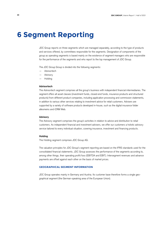### **6 Segment Reporting**

JDC Group reports on three segments which are managed separately, according to the type of products and services offered, by committees responsible for the segments. Designation of components of the group as operating segments is based mainly on the existence of segment managers who are responsible for the performance of the segments and who report to the top management of JDC Group.

The JDC Group Group is divided into the following segments:

- Advisortech
- **Advisory**
- Holding

#### **Advisortech**

The Advisortech segment comprises all the group's business with independent financial intermediaries. The segment offers all asset classes (investment funds, closed-end funds, insurance products and structured products) from different product companies, including application processing and commission statements, in addition to various other services relating to investment advice for retail customers. Advisers are supported by a variety of software products developed in-house, such as the digital insurance folder allesmeins and iCRM Web.

#### **Advisory**

The Advisory segment comprises the group's activities in relation to advice and distribution to retail customers. As independent financial and investment advisers, we offer our customers a holistic advisory service tailored to every individual situation, covering insurance, investment and financing products.

#### **Holding**

The Holding segment comprises JDC Group AG.

The valuation principles for JDC Group's segment reporting are based on the IFRS standards used for the consolidated financial statements. JDC Group assesses the performance of the segments according to, among other things, their operating profit/loss (EBITDA and EBIT). Intersegment revenues and advance payments are offset against each other on the basis of market prices.

#### **GEOGRAPHICAL SEGMENT INFORMATION**

JDC Group operates mainly in Germany and Austria. Its customer base therefore forms a single geographical segment (the German-speaking area of the European Union).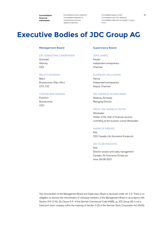Consolidated income statement Consolidated statement of comprehensive income Segment reporting

Consolidated balance sheet Consolidated cash flow statement Consolidated statement of changes in equity Notes

### **Executive Bodies of JDC Group AG**

#### Management Board

#### DR. SEBASTIAN GRABMAIER

Grünwald Attorney CEO

#### RALPH KONRAD

Mainz Businessman (Dipl.-Kfm.) CFO, CIO

#### STEFAN BACHMANN

Frankfurt Businessman CDO

#### Supervisory Board

#### JENS HARIG

Kerpen Independent entrepreneur Chairman

#### KLEMENS HALLMANN

Vienna Independent entrepreneur Deputy Chairman

#### DR. MARKUS SCHACHNER

Wollerau (Schweiz) Managing Director

#### PROF. DR. MARKUS PETRY

Wiesbaden Holder of the chair of financial services controlling at the business school Wiesbaden

#### MARKUS DREWS

Köln CEO Canada Life Assurance Europe plc

#### DR. IGOR RADOVIĆ

Köln Director product and sales management Canada Life Assurance Europe plc since 29/06/2021

The remuneration of the Management Board and Supervisory Board is disclosed under ref. 2.3. There is no obligation to disclose the remuneration of individual members of the Management Board in accordance with Section 314 (1) No. 6a Clause 5 ff. of the German Commercial Code (HGB), as JDC Group AG is not a listed joint stock company within the meaning of Section 3 (2) of the German Stock Corporation Act (AktG).